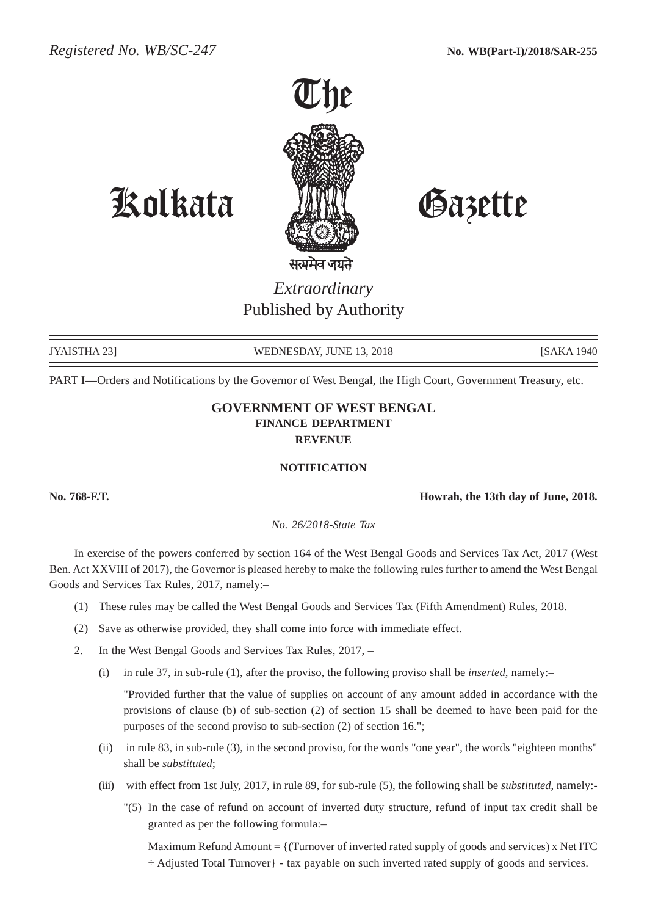

# Kolkata Gazette

*Extraordinary* Published by Authority

JYAISTHA 23] WEDNESDAY, JUNE 13, 2018 [SAKA 1940]

PART I—Orders and Notifications by the Governor of West Bengal, the High Court, Government Treasury, etc.

## **GOVERNMENT OF WEST BENGAL FINANCE DEPARTMENT REVENUE**

#### **NOTIFICATION**

**No. 768-F.T. Howrah, the 13th day of June, 2018.**

*No. 26/2018-State Tax*

In exercise of the powers conferred by section 164 of the West Bengal Goods and Services Tax Act, 2017 (West Ben. Act XXVIII of 2017), the Governor is pleased hereby to make the following rules further to amend the West Bengal Goods and Services Tax Rules, 2017, namely:–

- (1) These rules may be called the West Bengal Goods and Services Tax (Fifth Amendment) Rules, 2018.
- (2) Save as otherwise provided, they shall come into force with immediate effect.
- 2. In the West Bengal Goods and Services Tax Rules, 2017,
	- (i) in rule 37, in sub-rule (1), after the proviso, the following proviso shall be *inserted*, namely:–

"Provided further that the value of supplies on account of any amount added in accordance with the provisions of clause (b) of sub-section (2) of section 15 shall be deemed to have been paid for the purposes of the second proviso to sub-section (2) of section 16.";

- (ii) in rule 83, in sub-rule (3), in the second proviso, for the words "one year", the words "eighteen months" shall be *substituted*;
- (iii) with effect from 1st July, 2017, in rule 89, for sub-rule (5), the following shall be *substituted*, namely:-
	- "(5) In the case of refund on account of inverted duty structure, refund of input tax credit shall be granted as per the following formula:–

Maximum Refund Amount  $=$  {(Turnover of inverted rated supply of goods and services) x Net ITC ÷ Adjusted Total Turnover} - tax payable on such inverted rated supply of goods and services.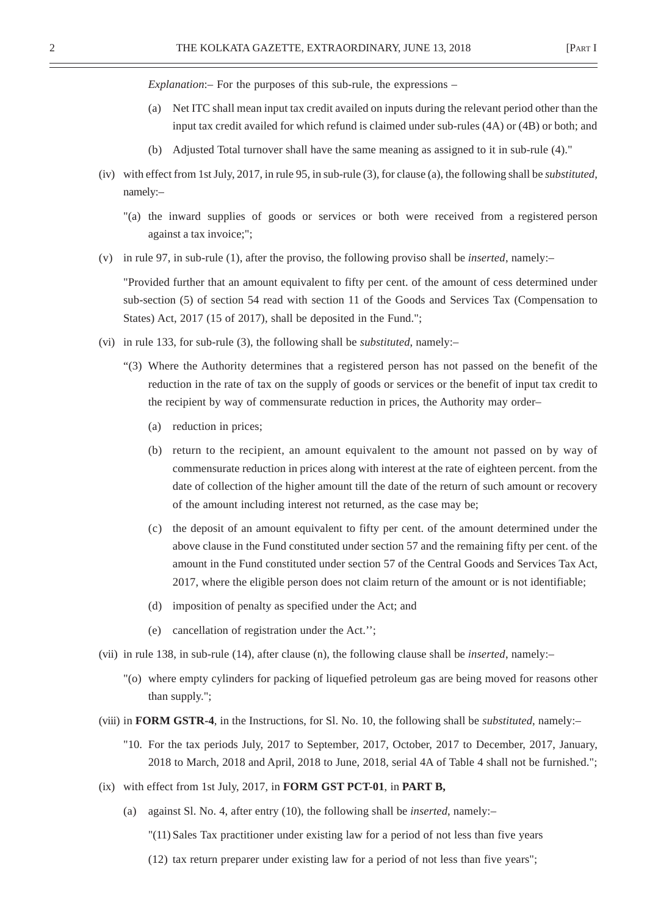*Explanation*:– For the purposes of this sub-rule, the expressions –

- (a) Net ITC shall mean input tax credit availed on inputs during the relevant period other than the input tax credit availed for which refund is claimed under sub-rules (4A) or (4B) or both; and
- (b) Adjusted Total turnover shall have the same meaning as assigned to it in sub-rule (4)."
- (iv) with effect from 1st July, 2017, in rule 95, in sub-rule (3), for clause (a), the following shall be *substituted*, namely:–
	- "(a) the inward supplies of goods or services or both were received from a registered person against a tax invoice;";
- (v) in rule 97, in sub-rule (1), after the proviso, the following proviso shall be *inserted*, namely:–

"Provided further that an amount equivalent to fifty per cent. of the amount of cess determined under sub-section (5) of section 54 read with section 11 of the Goods and Services Tax (Compensation to States) Act, 2017 (15 of 2017), shall be deposited in the Fund.";

- (vi) in rule 133, for sub-rule (3), the following shall be *substituted*, namely:–
	- "(3) Where the Authority determines that a registered person has not passed on the benefit of the reduction in the rate of tax on the supply of goods or services or the benefit of input tax credit to the recipient by way of commensurate reduction in prices, the Authority may order–
		- (a) reduction in prices;
		- (b) return to the recipient, an amount equivalent to the amount not passed on by way of commensurate reduction in prices along with interest at the rate of eighteen percent. from the date of collection of the higher amount till the date of the return of such amount or recovery of the amount including interest not returned, as the case may be;
		- (c) the deposit of an amount equivalent to fifty per cent. of the amount determined under the above clause in the Fund constituted under section 57 and the remaining fifty per cent. of the amount in the Fund constituted under section 57 of the Central Goods and Services Tax Act, 2017, where the eligible person does not claim return of the amount or is not identifiable;
		- (d) imposition of penalty as specified under the Act; and
		- (e) cancellation of registration under the Act.'';
- (vii) in rule 138, in sub-rule (14), after clause (n), the following clause shall be *inserted*, namely:–
	- "(o) where empty cylinders for packing of liquefied petroleum gas are being moved for reasons other than supply.";
- (viii) in **FORM GSTR-4**, in the Instructions, for Sl. No. 10, the following shall be *substituted*, namely:–
	- "10. For the tax periods July, 2017 to September, 2017, October, 2017 to December, 2017, January, 2018 to March, 2018 and April, 2018 to June, 2018, serial 4A of Table 4 shall not be furnished.";
- (ix) with effect from 1st July, 2017, in **FORM GST PCT-01**, in **PART B,**
	- (a) against Sl. No. 4, after entry (10), the following shall be *inserted*, namely:–

"(11) Sales Tax practitioner under existing law for a period of not less than five years

(12) tax return preparer under existing law for a period of not less than five years";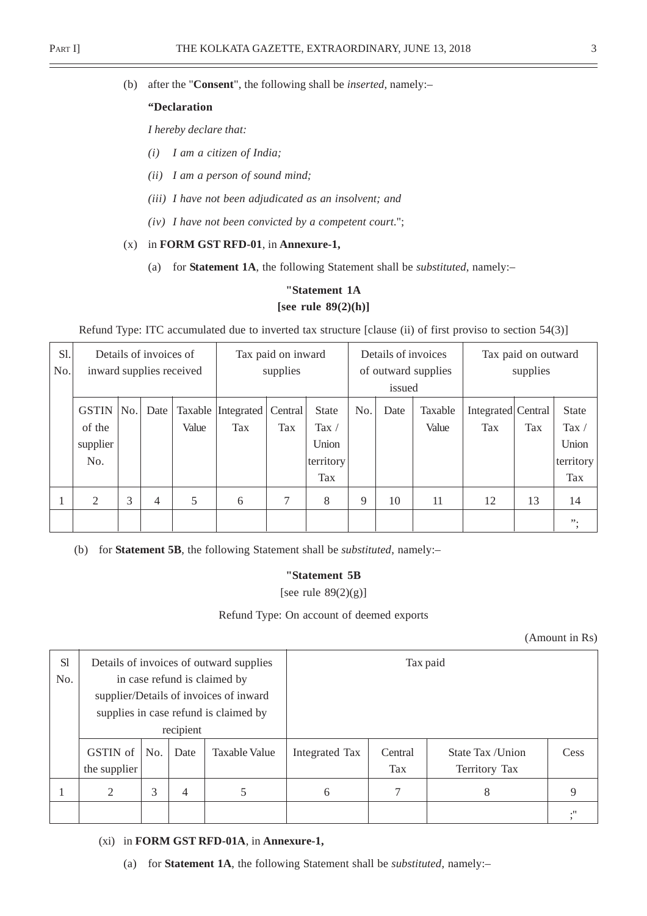(b) after the "**Consent**", the following shall be *inserted*, namely:–

#### **"Declaration**

*I hereby declare that:*

- *(i) I am a citizen of India;*
- *(ii) I am a person of sound mind;*
- *(iii) I have not been adjudicated as an insolvent; and*
- *(iv) I have not been convicted by a competent court*.";

#### (x) in **FORM GST RFD-01**, in **Annexure-1,**

(a) for **Statement 1A**, the following Statement shall be *substituted*, namely:–

## **"Statement 1A [see rule 89(2)(h)]**

Refund Type: ITC accumulated due to inverted tax structure [clause (ii) of first proviso to section 54(3)]

| S1.<br>No. |              |     | Details of invoices of | inward supplies received | Tax paid on inward<br>supplies |         |                | Details of invoices<br>of outward supplies |      |         | Tax paid on outward<br>supplies |     |              |
|------------|--------------|-----|------------------------|--------------------------|--------------------------------|---------|----------------|--------------------------------------------|------|---------|---------------------------------|-----|--------------|
|            |              |     |                        |                          |                                |         | issued         |                                            |      |         |                                 |     |              |
|            | <b>GSTIN</b> | No. | Date                   | Taxable                  | Integrated                     | Central | <b>State</b>   | No.                                        | Date | Taxable | Integrated Central              |     | <b>State</b> |
|            | of the       |     |                        | Value                    | Tax                            | Tax     | Tax $\sqrt{ }$ |                                            |      | Value   | <b>Tax</b>                      | Tax | Tax $/$      |
|            | supplier     |     |                        |                          |                                |         | Union          |                                            |      |         |                                 |     | Union        |
|            | No.          |     |                        |                          |                                |         | territory      |                                            |      |         |                                 |     | territory    |
|            |              |     |                        |                          |                                |         | Tax            |                                            |      |         |                                 |     | Tax          |
|            | 2            | 3   | $\overline{4}$         | 5                        | 6                              | 7       | 8              | 9                                          | 10   | 11      | 12                              | 13  | 14           |
|            |              |     |                        |                          |                                |         |                |                                            |      |         |                                 |     | ".           |

(b) for **Statement 5B**, the following Statement shall be *substituted*, namely:–

#### **"Statement 5B**

[see rule 89(2)(g)]

#### Refund Type: On account of deemed exports

(Amount in Rs)

| S1<br>No. |                          |     |           | Details of invoices of outward supplies<br>in case refund is claimed by<br>supplier/Details of invoices of inward |                       | Tax paid       |                                    |      |
|-----------|--------------------------|-----|-----------|-------------------------------------------------------------------------------------------------------------------|-----------------------|----------------|------------------------------------|------|
|           |                          |     | recipient | supplies in case refund is claimed by                                                                             |                       |                |                                    |      |
|           | GSTIN of<br>the supplier | No. | Date      | Taxable Value                                                                                                     | <b>Integrated Tax</b> | Central<br>Tax | State Tax / Union<br>Territory Tax | Cess |
|           | 2                        | 3   | 4         | 5                                                                                                                 | 6                     |                | 8                                  | 9    |
|           |                          |     |           |                                                                                                                   |                       |                |                                    | ."   |

(xi) in **FORM GST RFD-01A**, in **Annexure-1,**

(a) for **Statement 1A**, the following Statement shall be *substituted*, namely:–